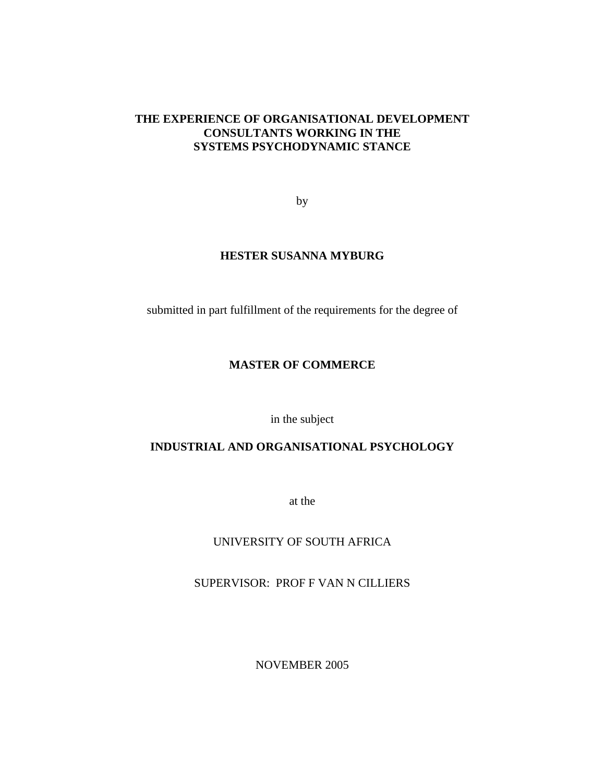### **THE EXPERIENCE OF ORGANISATIONAL DEVELOPMENT CONSULTANTS WORKING IN THE SYSTEMS PSYCHODYNAMIC STANCE**

by

### **HESTER SUSANNA MYBURG**

submitted in part fulfillment of the requirements for the degree of

### **MASTER OF COMMERCE**

in the subject

### **INDUSTRIAL AND ORGANISATIONAL PSYCHOLOGY**

at the

### UNIVERSITY OF SOUTH AFRICA

SUPERVISOR: PROF F VAN N CILLIERS

NOVEMBER 2005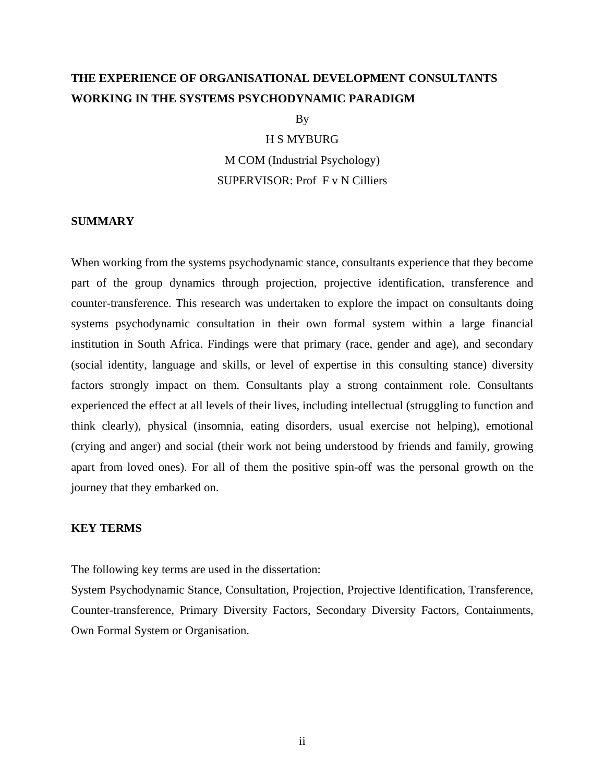# **THE EXPERIENCE OF ORGANISATIONAL DEVELOPMENT CONSULTANTS WORKING IN THE SYSTEMS PSYCHODYNAMIC PARADIGM**

By

### H S MYBURG

M COM (Industrial Psychology) SUPERVISOR: Prof F v N Cilliers

### **SUMMARY**

When working from the systems psychodynamic stance, consultants experience that they become part of the group dynamics through projection, projective identification, transference and counter-transference. This research was undertaken to explore the impact on consultants doing systems psychodynamic consultation in their own formal system within a large financial institution in South Africa. Findings were that primary (race, gender and age), and secondary (social identity, language and skills, or level of expertise in this consulting stance) diversity factors strongly impact on them. Consultants play a strong containment role. Consultants experienced the effect at all levels of their lives, including intellectual (struggling to function and think clearly), physical (insomnia, eating disorders, usual exercise not helping), emotional (crying and anger) and social (their work not being understood by friends and family, growing apart from loved ones). For all of them the positive spin-off was the personal growth on the journey that they embarked on.

### **KEY TERMS**

The following key terms are used in the dissertation:

System Psychodynamic Stance, Consultation, Projection, Projective Identification, Transference, Counter-transference, Primary Diversity Factors, Secondary Diversity Factors, Containments, Own Formal System or Organisation.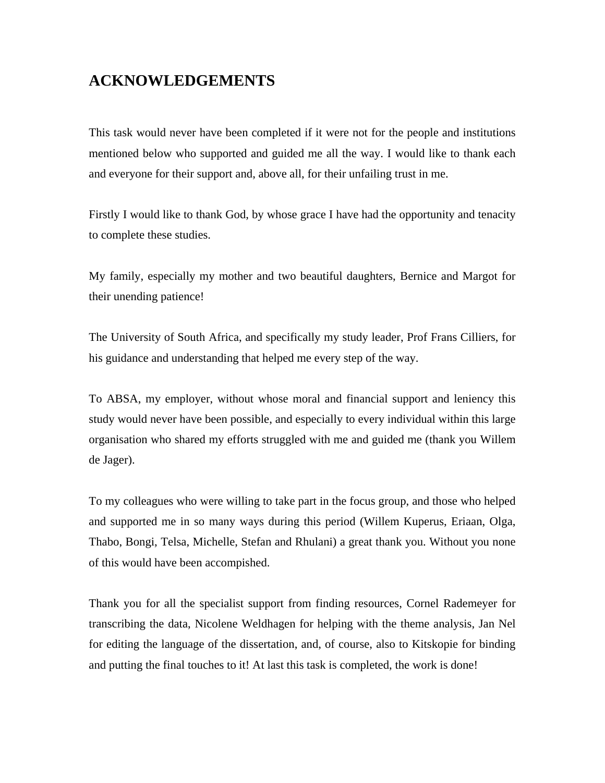# **ACKNOWLEDGEMENTS**

This task would never have been completed if it were not for the people and institutions mentioned below who supported and guided me all the way. I would like to thank each and everyone for their support and, above all, for their unfailing trust in me.

Firstly I would like to thank God, by whose grace I have had the opportunity and tenacity to complete these studies.

My family, especially my mother and two beautiful daughters, Bernice and Margot for their unending patience!

The University of South Africa, and specifically my study leader, Prof Frans Cilliers, for his guidance and understanding that helped me every step of the way.

To ABSA, my employer, without whose moral and financial support and leniency this study would never have been possible, and especially to every individual within this large organisation who shared my efforts struggled with me and guided me (thank you Willem de Jager).

To my colleagues who were willing to take part in the focus group, and those who helped and supported me in so many ways during this period (Willem Kuperus, Eriaan, Olga, Thabo, Bongi, Telsa, Michelle, Stefan and Rhulani) a great thank you. Without you none of this would have been accompished.

Thank you for all the specialist support from finding resources, Cornel Rademeyer for transcribing the data, Nicolene Weldhagen for helping with the theme analysis, Jan Nel for editing the language of the dissertation, and, of course, also to Kitskopie for binding and putting the final touches to it! At last this task is completed, the work is done!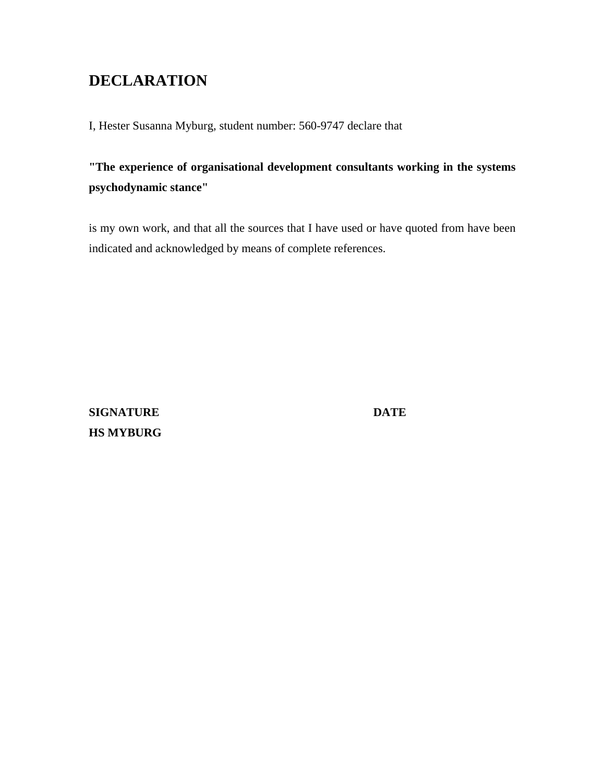# **DECLARATION**

I, Hester Susanna Myburg, student number: 560-9747 declare that

**"The experience of organisational development consultants working in the systems psychodynamic stance"** 

is my own work, and that all the sources that I have used or have quoted from have been indicated and acknowledged by means of complete references.

**SIGNATURE DATE HS MYBURG**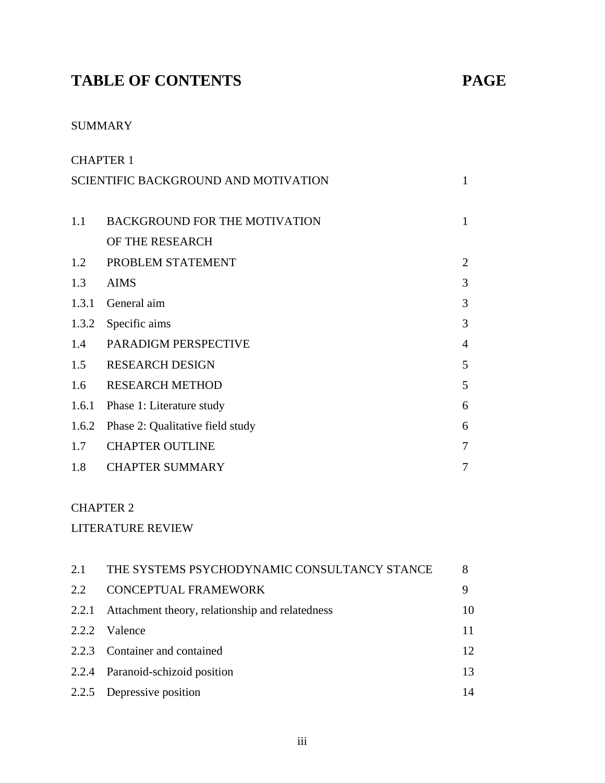# **TABLE OF CONTENTS PAGE**

## SUMMARY

| <b>CHAPTER 1</b> |                                             |                |
|------------------|---------------------------------------------|----------------|
|                  | <b>SCIENTIFIC BACKGROUND AND MOTIVATION</b> |                |
|                  |                                             |                |
| 1.1              | <b>BACKGROUND FOR THE MOTIVATION</b>        | $\mathbf{1}$   |
|                  | OF THE RESEARCH                             |                |
| 1.2              | PROBLEM STATEMENT                           | $\overline{2}$ |
| 1.3              | <b>AIMS</b>                                 | 3              |
| 1.3.1            | General aim                                 | 3              |
| 1.3.2            | Specific aims                               | 3              |
| 1.4              | PARADIGM PERSPECTIVE                        | $\overline{4}$ |
| 1.5              | <b>RESEARCH DESIGN</b>                      | 5              |
| 1.6              | <b>RESEARCH METHOD</b>                      | 5              |
| 1.6.1            | Phase 1: Literature study                   | 6              |
| 1.6.2            | Phase 2: Qualitative field study            | 6              |
| 1.7              | <b>CHAPTER OUTLINE</b>                      | 7              |
| 1.8              | <b>CHAPTER SUMMARY</b>                      | 7              |

## CHAPTER 2

## LITERATURE REVIEW

| 2.1   | THE SYSTEMS PSYCHODYNAMIC CONSULTANCY STANCE    | 8  |
|-------|-------------------------------------------------|----|
| 2.2   | <b>CONCEPTUAL FRAMEWORK</b>                     | 9  |
| 2.2.1 | Attachment theory, relationship and relatedness | 10 |
|       | 2.2.2 Valence                                   | 11 |
|       | 2.2.3 Container and contained                   | 12 |
|       | 2.2.4 Paranoid-schizoid position                | 13 |
|       | 2.2.5 Depressive position                       | 14 |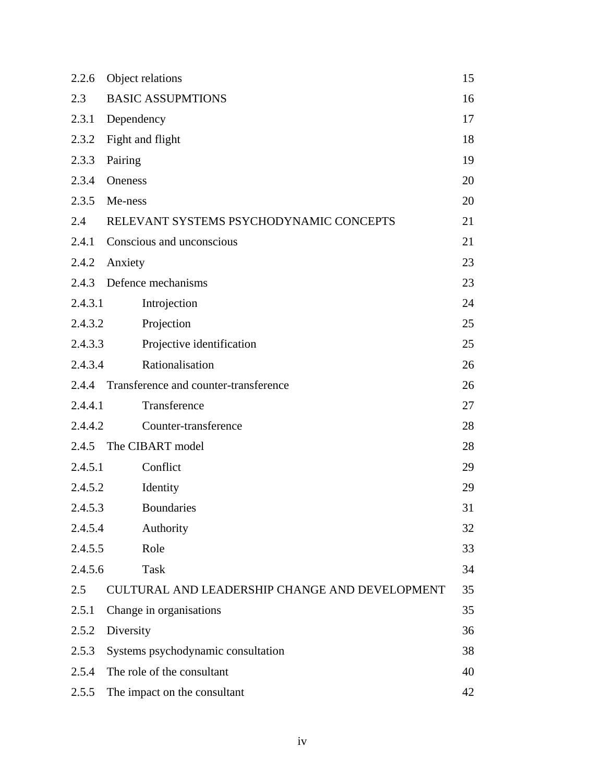| 2.2.6   | Object relations                               | 15 |
|---------|------------------------------------------------|----|
| 2.3     | <b>BASIC ASSUPMTIONS</b>                       | 16 |
| 2.3.1   | Dependency                                     | 17 |
| 2.3.2   | Fight and flight                               | 18 |
| 2.3.3   | Pairing                                        | 19 |
| 2.3.4   | <b>Oneness</b>                                 | 20 |
| 2.3.5   | Me-ness                                        | 20 |
| 2.4     | RELEVANT SYSTEMS PSYCHODYNAMIC CONCEPTS        | 21 |
| 2.4.1   | Conscious and unconscious                      | 21 |
| 2.4.2   | Anxiety                                        | 23 |
|         | 2.4.3 Defence mechanisms                       | 23 |
| 2.4.3.1 | Introjection                                   | 24 |
| 2.4.3.2 | Projection                                     | 25 |
| 2.4.3.3 | Projective identification                      | 25 |
| 2.4.3.4 | Rationalisation                                | 26 |
|         | 2.4.4 Transference and counter-transference    | 26 |
| 2.4.4.1 | Transference                                   | 27 |
| 2.4.4.2 | Counter-transference                           | 28 |
|         | 2.4.5 The CIBART model                         | 28 |
| 2.4.5.1 | Conflict                                       | 29 |
| 2.4.5.2 | Identity                                       | 29 |
| 2.4.5.3 | <b>Boundaries</b>                              | 31 |
| 2.4.5.4 | Authority                                      | 32 |
| 2.4.5.5 | Role                                           | 33 |
| 2.4.5.6 | Task                                           | 34 |
| 2.5     | CULTURAL AND LEADERSHIP CHANGE AND DEVELOPMENT | 35 |
| 2.5.1   | Change in organisations                        | 35 |
| 2.5.2   | Diversity                                      | 36 |
| 2.5.3   | Systems psychodynamic consultation             | 38 |
| 2.5.4   | The role of the consultant                     | 40 |
| 2.5.5   | The impact on the consultant                   | 42 |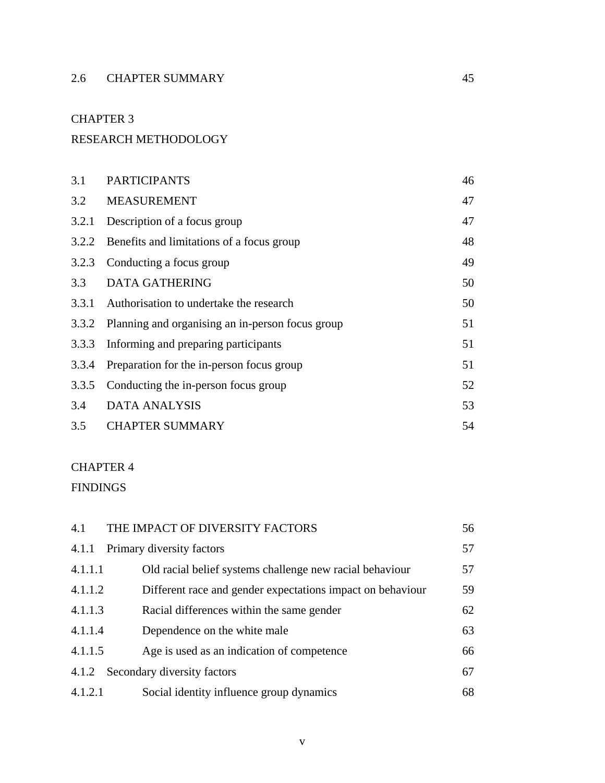## 2.6 CHAPTER SUMMARY 45

### CHAPTER 3

### RESEARCH METHODOLOGY

| 3.1   | <b>PARTICIPANTS</b>                                    | 46 |
|-------|--------------------------------------------------------|----|
|       | 3.2 MEASUREMENT                                        | 47 |
| 3.2.1 | Description of a focus group                           | 47 |
| 3.2.2 | Benefits and limitations of a focus group              | 48 |
| 3.2.3 | Conducting a focus group                               | 49 |
| 3.3   | <b>DATA GATHERING</b>                                  | 50 |
| 3.3.1 | Authorisation to undertake the research                | 50 |
|       | 3.3.2 Planning and organising an in-person focus group | 51 |
| 3.3.3 | Informing and preparing participants                   | 51 |
| 3.3.4 | Preparation for the in-person focus group              | 51 |
| 3.3.5 | Conducting the in-person focus group                   | 52 |
| 3.4   | <b>DATA ANALYSIS</b>                                   | 53 |
| 3.5   | <b>CHAPTER SUMMARY</b>                                 | 54 |

### CHAPTER 4

FINDINGS

| 4.1     | THE IMPACT OF DIVERSITY FACTORS                            | 56 |
|---------|------------------------------------------------------------|----|
| 4.1.1   | Primary diversity factors                                  | 57 |
| 4.1.1.1 | Old racial belief systems challenge new racial behaviour   | 57 |
| 4.1.1.2 | Different race and gender expectations impact on behaviour | 59 |
| 4.1.1.3 | Racial differences within the same gender                  | 62 |
| 4.1.1.4 | Dependence on the white male                               | 63 |
| 4.1.1.5 | Age is used as an indication of competence                 | 66 |
| 4.1.2   | Secondary diversity factors                                | 67 |
| 4.1.2.1 | Social identity influence group dynamics                   | 68 |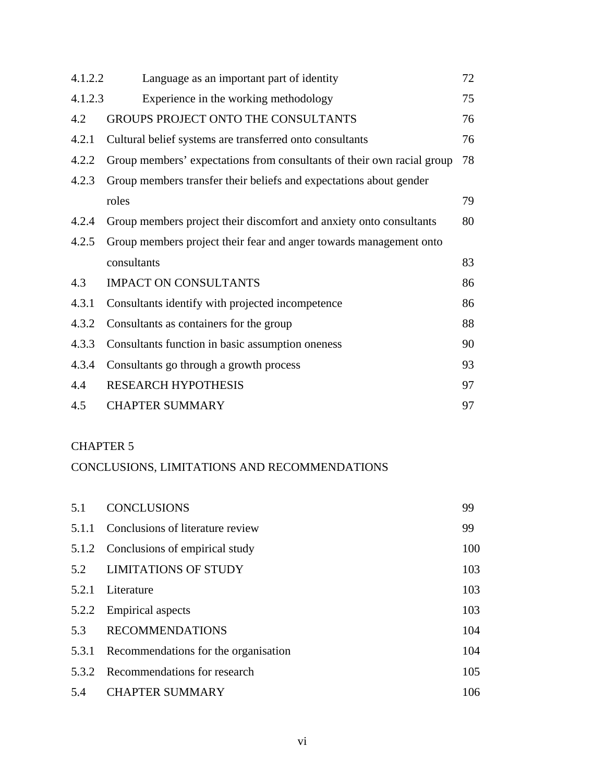| 4.1.2.2 | Language as an important part of identity                              | 72 |
|---------|------------------------------------------------------------------------|----|
| 4.1.2.3 | Experience in the working methodology                                  | 75 |
| 4.2     | <b>GROUPS PROJECT ONTO THE CONSULTANTS</b>                             | 76 |
| 4.2.1   | Cultural belief systems are transferred onto consultants               | 76 |
| 4.2.2   | Group members' expectations from consultants of their own racial group | 78 |
| 4.2.3   | Group members transfer their beliefs and expectations about gender     |    |
|         | roles                                                                  | 79 |
| 4.2.4   | Group members project their discomfort and anxiety onto consultants    | 80 |
| 4.2.5   | Group members project their fear and anger towards management onto     |    |
|         | consultants                                                            | 83 |
| 4.3     | <b>IMPACT ON CONSULTANTS</b>                                           | 86 |
| 4.3.1   | Consultants identify with projected incompetence                       | 86 |
| 4.3.2   | Consultants as containers for the group                                | 88 |
| 4.3.3   | Consultants function in basic assumption oneness                       | 90 |
| 4.3.4   | Consultants go through a growth process                                | 93 |
| 4.4     | <b>RESEARCH HYPOTHESIS</b>                                             | 97 |
| 4.5     | <b>CHAPTER SUMMARY</b>                                                 | 97 |

### CHAPTER 5

### CONCLUSIONS, LIMITATIONS AND RECOMMENDATIONS

| 5.1   | <b>CONCLUSIONS</b>                   | 99  |
|-------|--------------------------------------|-----|
| 5.1.1 | Conclusions of literature review     | 99  |
|       | 5.1.2 Conclusions of empirical study | 100 |
|       | 5.2 LIMITATIONS OF STUDY             | 103 |
| 5.2.1 | Literature                           | 103 |
| 5.2.2 | <b>Empirical aspects</b>             | 103 |
| 5.3   | <b>RECOMMENDATIONS</b>               | 104 |
| 5.3.1 | Recommendations for the organisation | 104 |
| 5.3.2 | Recommendations for research         | 105 |
| 5.4   | <b>CHAPTER SUMMARY</b>               | 106 |